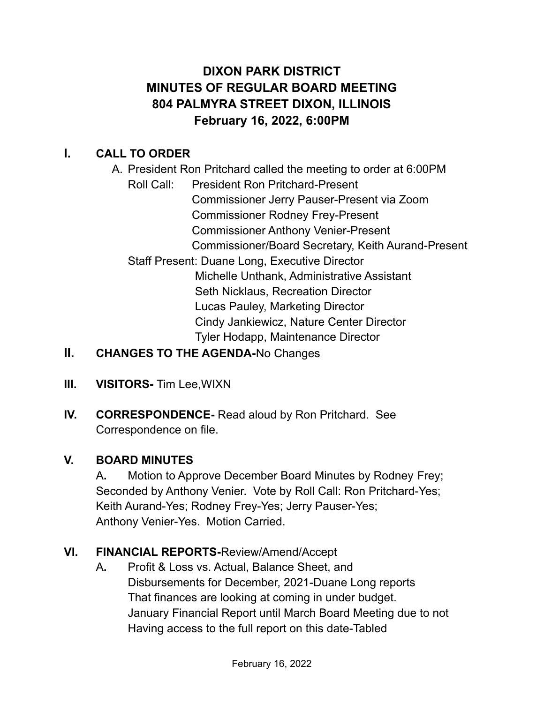# **DIXON PARK DISTRICT MINUTES OF REGULAR BOARD MEETING 804 PALMYRA STREET DIXON, ILLINOIS February 16, 2022, 6:00PM**

## **I. CALL TO ORDER**

- A. President Ron Pritchard called the meeting to order at 6:00PM Roll Call: President Ron Pritchard-Present Commissioner Jerry Pauser-Present via Zoom Commissioner Rodney Frey-Present Commissioner Anthony Venier-Present Commissioner/Board Secretary, Keith Aurand-Present Staff Present: Duane Long, Executive Director Michelle Unthank, Administrative Assistant Seth Nicklaus, Recreation Director Lucas Pauley, Marketing Director Cindy Jankiewicz, Nature Center Director Tyler Hodapp, Maintenance Director
- **II. CHANGES TO THE AGENDA-**No Changes
- **III. VISITORS-** Tim Lee,WIXN
- **IV. CORRESPONDENCE-** Read aloud by Ron Pritchard. See Correspondence on file.

### **V. BOARD MINUTES**

A**.** Motion to Approve December Board Minutes by Rodney Frey; Seconded by Anthony Venier. Vote by Roll Call: Ron Pritchard-Yes; Keith Aurand-Yes; Rodney Frey-Yes; Jerry Pauser-Yes; Anthony Venier-Yes. Motion Carried.

### **VI. FINANCIAL REPORTS-**Review/Amend/Accept

A**.** Profit & Loss vs. Actual, Balance Sheet, and Disbursements for December, 2021-Duane Long reports That finances are looking at coming in under budget. January Financial Report until March Board Meeting due to not Having access to the full report on this date-Tabled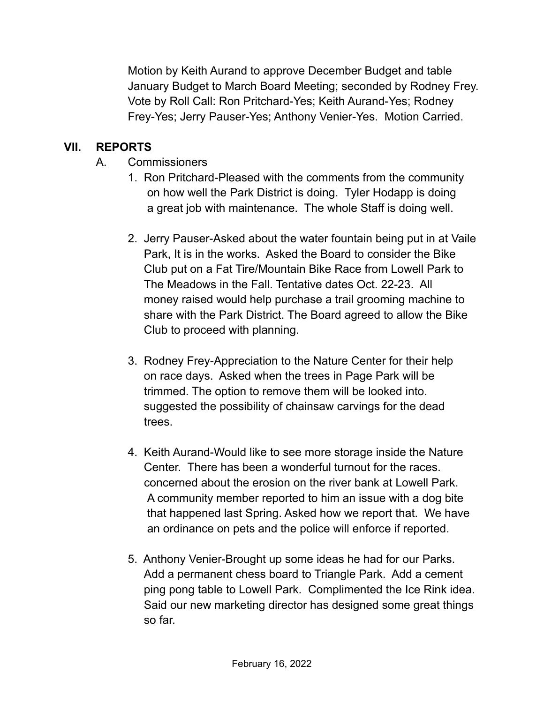Motion by Keith Aurand to approve December Budget and table January Budget to March Board Meeting; seconded by Rodney Frey. Vote by Roll Call: Ron Pritchard-Yes; Keith Aurand-Yes; Rodney Frey-Yes; Jerry Pauser-Yes; Anthony Venier-Yes. Motion Carried.

### **VII. REPORTS**

- A. Commissioners
	- 1. Ron Pritchard-Pleased with the comments from the community on how well the Park District is doing. Tyler Hodapp is doing a great job with maintenance. The whole Staff is doing well.
	- 2. Jerry Pauser-Asked about the water fountain being put in at Vaile Park, It is in the works. Asked the Board to consider the Bike Club put on a Fat Tire/Mountain Bike Race from Lowell Park to The Meadows in the Fall. Tentative dates Oct. 22-23. All money raised would help purchase a trail grooming machine to share with the Park District. The Board agreed to allow the Bike Club to proceed with planning.
	- 3. Rodney Frey-Appreciation to the Nature Center for their help on race days. Asked when the trees in Page Park will be trimmed. The option to remove them will be looked into. suggested the possibility of chainsaw carvings for the dead trees.
	- 4. Keith Aurand-Would like to see more storage inside the Nature Center. There has been a wonderful turnout for the races. concerned about the erosion on the river bank at Lowell Park. A community member reported to him an issue with a dog bite that happened last Spring. Asked how we report that. We have an ordinance on pets and the police will enforce if reported.
	- 5. Anthony Venier-Brought up some ideas he had for our Parks. Add a permanent chess board to Triangle Park. Add a cement ping pong table to Lowell Park. Complimented the Ice Rink idea. Said our new marketing director has designed some great things so far.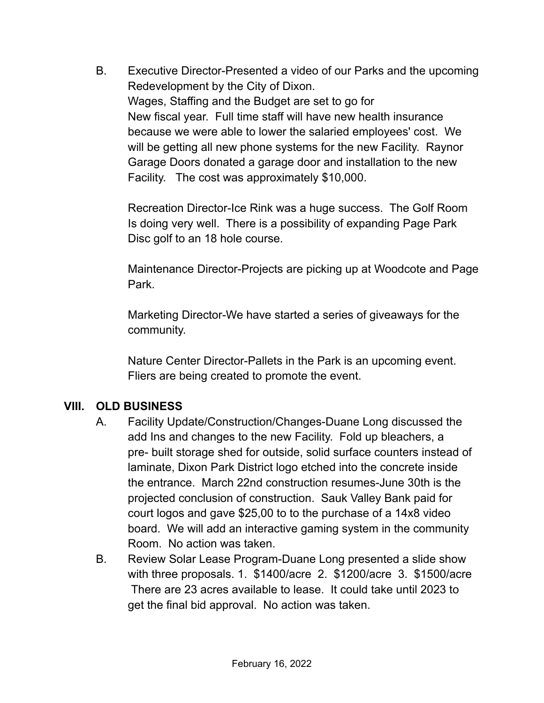B. Executive Director-Presented a video of our Parks and the upcoming Redevelopment by the City of Dixon. Wages, Staffing and the Budget are set to go for New fiscal year. Full time staff will have new health insurance because we were able to lower the salaried employees' cost. We will be getting all new phone systems for the new Facility. Raynor Garage Doors donated a garage door and installation to the new Facility. The cost was approximately \$10,000.

Recreation Director-Ice Rink was a huge success. The Golf Room Is doing very well. There is a possibility of expanding Page Park Disc golf to an 18 hole course.

Maintenance Director-Projects are picking up at Woodcote and Page Park.

Marketing Director-We have started a series of giveaways for the community.

Nature Center Director-Pallets in the Park is an upcoming event. Fliers are being created to promote the event.

#### **VIII. OLD BUSINESS**

- A. Facility Update/Construction/Changes-Duane Long discussed the add Ins and changes to the new Facility. Fold up bleachers, a pre- built storage shed for outside, solid surface counters instead of laminate, Dixon Park District logo etched into the concrete inside the entrance. March 22nd construction resumes-June 30th is the projected conclusion of construction. Sauk Valley Bank paid for court logos and gave \$25,00 to to the purchase of a 14x8 video board. We will add an interactive gaming system in the community Room. No action was taken.
- B. Review Solar Lease Program-Duane Long presented a slide show with three proposals. 1. \$1400/acre 2. \$1200/acre 3. \$1500/acre There are 23 acres available to lease. It could take until 2023 to get the final bid approval. No action was taken.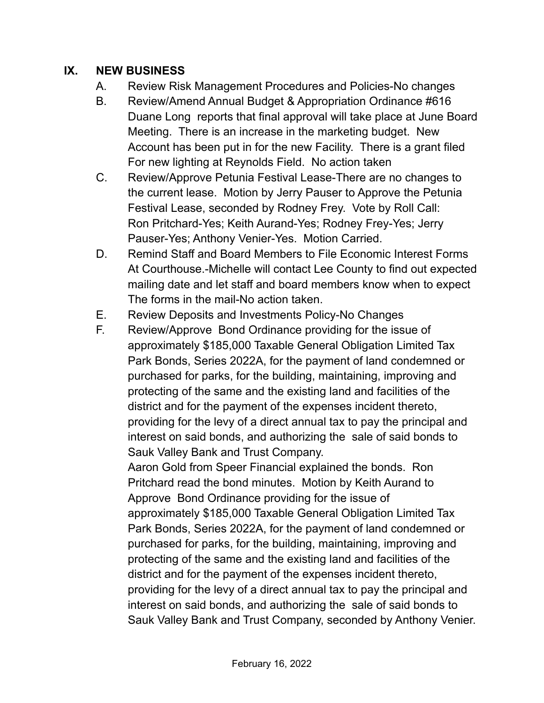#### **IX. NEW BUSINESS**

- A. Review Risk Management Procedures and Policies-No changes
- B. Review/Amend Annual Budget & Appropriation Ordinance #616 Duane Long reports that final approval will take place at June Board Meeting. There is an increase in the marketing budget. New Account has been put in for the new Facility. There is a grant filed For new lighting at Reynolds Field. No action taken
- C. Review/Approve Petunia Festival Lease-There are no changes to the current lease. Motion by Jerry Pauser to Approve the Petunia Festival Lease, seconded by Rodney Frey. Vote by Roll Call: Ron Pritchard-Yes; Keith Aurand-Yes; Rodney Frey-Yes; Jerry Pauser-Yes; Anthony Venier-Yes. Motion Carried.
- D. Remind Staff and Board Members to File Economic Interest Forms At Courthouse.-Michelle will contact Lee County to find out expected mailing date and let staff and board members know when to expect The forms in the mail-No action taken.
- E. Review Deposits and Investments Policy-No Changes
- F. Review/Approve Bond Ordinance providing for the issue of approximately \$185,000 Taxable General Obligation Limited Tax Park Bonds, Series 2022A, for the payment of land condemned or purchased for parks, for the building, maintaining, improving and protecting of the same and the existing land and facilities of the district and for the payment of the expenses incident thereto, providing for the levy of a direct annual tax to pay the principal and interest on said bonds, and authorizing the sale of said bonds to Sauk Valley Bank and Trust Company.

Aaron Gold from Speer Financial explained the bonds. Ron Pritchard read the bond minutes. Motion by Keith Aurand to Approve Bond Ordinance providing for the issue of approximately \$185,000 Taxable General Obligation Limited Tax Park Bonds, Series 2022A, for the payment of land condemned or purchased for parks, for the building, maintaining, improving and protecting of the same and the existing land and facilities of the district and for the payment of the expenses incident thereto, providing for the levy of a direct annual tax to pay the principal and interest on said bonds, and authorizing the sale of said bonds to Sauk Valley Bank and Trust Company, seconded by Anthony Venier.